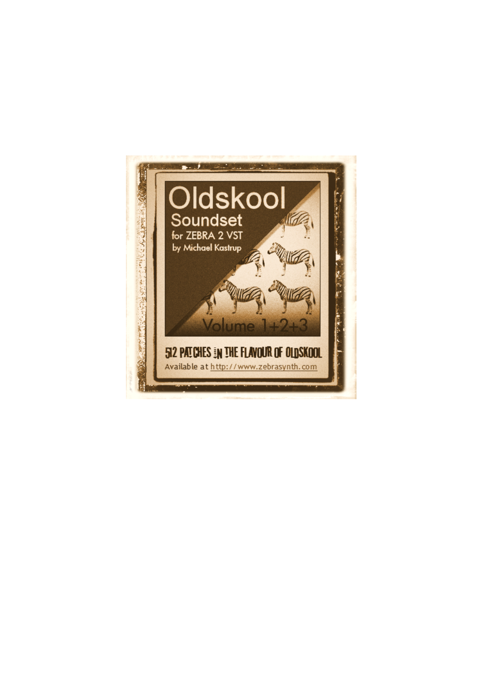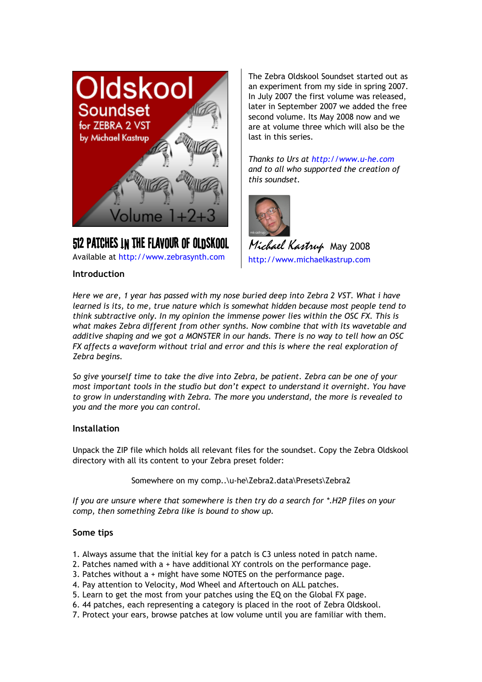

# **512 Patches in the flavour of Oldskool**

Available at http://www.zebrasynth.com

## **Introduction**

The Zebra Oldskool Soundset started out as an experiment from my side in spring 2007. In July 2007 the first volume was released, later in September 2007 we added the free second volume. Its May 2008 now and we are at volume three which will also be the last in this series.

*Thanks to Urs at http://www.u-he.com and to all who supported the creation of this soundset.* 



*Michael Kastrup* May <sup>2008</sup> http://www.michaelkastrup.com

*Here we are, 1 year has passed with my nose buried deep into Zebra 2 VST. What i have learned is its, to me, true nature which is somewhat hidden because most people tend to think subtractive only. In my opinion the immense power lies within the OSC FX. This is what makes Zebra different from other synths. Now combine that with its wavetable and additive shaping and we got a MONSTER in our hands. There is no way to tell how an OSC FX affects a waveform without trial and error and this is where the real exploration of Zebra begins.* 

*So give yourself time to take the dive into Zebra, be patient. Zebra can be one of your most important tools in the studio but don't expect to understand it overnight. You have to grow in understanding with Zebra. The more you understand, the more is revealed to you and the more you can control.* 

## **Installation**

Unpack the ZIP file which holds all relevant files for the soundset. Copy the Zebra Oldskool directory with all its content to your Zebra preset folder:

Somewhere on my comp..\u-he\Zebra2.data\Presets\Zebra2

*If you are unsure where that somewhere is then try do a search for \*.H2P files on your comp, then something Zebra like is bound to show up.*

## **Some tips**

- 1. Always assume that the initial key for a patch is C3 unless noted in patch name.
- 2. Patches named with a + have additional XY controls on the performance page.
- 3. Patches without a + might have some NOTES on the performance page.
- 4. Pay attention to Velocity, Mod Wheel and Aftertouch on ALL patches.
- 5. Learn to get the most from your patches using the EQ on the Global FX page.
- 6. 44 patches, each representing a category is placed in the root of Zebra Oldskool.
- 7. Protect your ears, browse patches at low volume until you are familiar with them.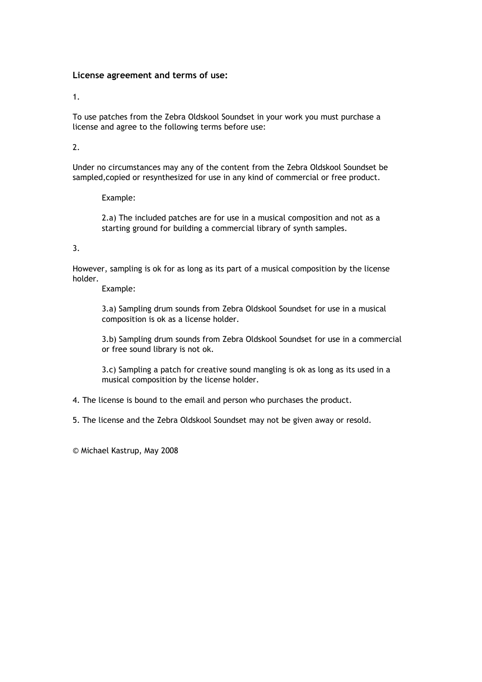## **License agreement and terms of use:**

1.

To use patches from the Zebra Oldskool Soundset in your work you must purchase a license and agree to the following terms before use:

2.

Under no circumstances may any of the content from the Zebra Oldskool Soundset be sampled,copied or resynthesized for use in any kind of commercial or free product.

Example:

 2.a) The included patches are for use in a musical composition and not as a starting ground for building a commercial library of synth samples.

## 3.

However, sampling is ok for as long as its part of a musical composition by the license holder.

Example:

 3.a) Sampling drum sounds from Zebra Oldskool Soundset for use in a musical composition is ok as a license holder.

 3.b) Sampling drum sounds from Zebra Oldskool Soundset for use in a commercial or free sound library is not ok.

 3.c) Sampling a patch for creative sound mangling is ok as long as its used in a musical composition by the license holder.

4. The license is bound to the email and person who purchases the product.

5. The license and the Zebra Oldskool Soundset may not be given away or resold.

© Michael Kastrup, May 2008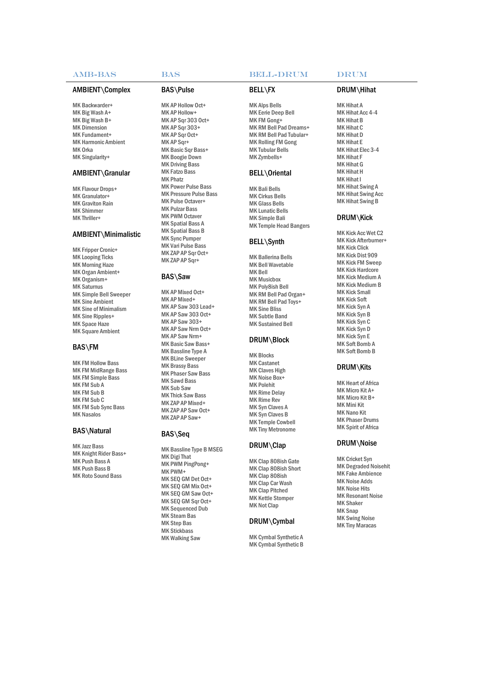#### AMB-BAS BAS BELL-

#### AMBIENT\Complex

MK Backwarder+ MK Big Wash A+ MK Big Wash B+ MK Dimension MK Fundament+ MK Harmonic Ambient M K Orka MK Singularity+

#### AMBIENT\Granular

MK Flavour Drops+ MK Granulator+ MK Graviton Rain M K S h imm er MK Thriller+

#### AMBIENT\Minimalistic

MK Fripper Cronic+ MK Looping Ticks MK Morning Haze MK Organ Ambient+ MK Organism+ MK Saturnus MK Simple Bell Sweeper MK Sine Ambient MK Sine of Minimalism MK Sine Ripples+ MK Space Haze MK Square Ambient

#### BAS\FM

MK FM Hollow Bass MK FM MidRange Bass MK FM Simple Bass MK FM Sub A MK FM Sub B MK FM Sub C MK FM Sub Sync Bass **MK Nasalos** 

#### BAS\Natural

M K Jazz B ass MK Knight Rider Bass+ MK Push Bass A M K P u sh B ass B MK Roto Sound Bass

#### B A S \ Pul se

MK AP Hollow Oct+ MK AP Hollow+ MK AP Sqr 303 Oct+ M K AP S q r 303+ MK AP Sqr Oct+ MK AP Sqr+ MK Basic Sqr Bass+ MK Boogie Down **MK Driving Bass** MK Fatzo Bass M K Pha tz MK Power Pulse Bass MK Pressure Pulse Bass MK Pulse Octaver+ MK Pulzar Bass MK PWM Octaver MK Spatial Bass A MK Spatial Bass B MK Sync Pumper MK Vari Pulse Bass MK ZAP AP Sqr Oct+ MK ZAP AP Sqr+

#### BAS\ S aw

MK AP Mixed Oct+ MK AP Mixed+ MK AP Saw 303 Lead+ MK AP Saw 303 Oct+ M K AP S a w 303+ MK AP Saw Nrm Oct+ MK AP Saw Nrm+ MK Basic Saw Bass+ MK Bassline Type A MK BLine Sweeper MK Brassy Bass MK Phaser Saw Bass MK Sawd Bass MK Sub Saw MK Thick Saw Bass MK ZAP AP Mixed+ MK ZAP AP Saw Oct+ M K ZAP AP S a w+

#### BAS\ S eq

MK Bassline Type B MSEG MK Digi That MK PWM PingPong+ MK PWM+ MK SEQ GM Det Oct+ MK SEQ GM Mix Oct+ MK SEQ GM Saw Oct+ MK SEQ GM Sqr Oct+ MK Sequenced Dub MK Steam Bas MK Step Bas MK Stickbass MK Walking Saw

#### **BELL-DRUM**

#### B ELL \ FX

M K Al p s B ells MK Eerie Deep Bell MK FM Gong+ MK RM Bell Pad Dreams+ MK RM Bell Pad Tubular+ MK Rolling FM Gong MK Tubular Bells MK Zymbells+

#### BELL\Oriental

MK Bali Bells MK Cirkus Bells MK Glass Bells MK Lunatic Bells MK Simple Bali MK Temple Head Bangers

#### BELL\Synth

MK Ballerina Bells MK Bell Wavetable M K B ell MK Musicbox MK Poly8ish Bell MK RM Bell Pad Organ+ MK RM Bell Pad Toys+ MK Sine Bliss MK Subtle Band MK Sustained Bell

#### DRUM\Block

MK Blocks M K C astan et MK Claves High MK Noise Box+ MK Polehit MK Rime Delay MK Rime Rev MK Syn Claves A MK Syn Claves B MK Temple Cowbell M K Ti n y Metrono me

#### D R UM\ Clap

MK Clap 808ish Gate MK Clap 808ish Short MK Clap 808ish MK Clap Car Wash MK Clap Pitched MK Kettle Stomper MK Not Clap

#### DRUM\Cymbal

MK Cymbal Synthetic A MK Cymbal Synthetic B

## D R UM\ Hihat

MK Hihat A MK Hihat Acc 4-4 MK Hihat B MK Hihat C MK Hihat D MK Hihat E MK Hihat Elec 3-4 MK Hihat F MK Hihat G M K H iha t H MK Hihat I MK Hihat Swing A MK Hihat Swing Acc MK Hihat Swing B

### DRUM\Kick

MK Kick Acc Wet C2 MK Kick Afterburner+ MK Kick Click MK Kick Dist 909 MK Kick FM Sweep MK Kick Hardcore MK Kick Medium A MK Kick Medium B MK Kick Small MK Kick Soft M K K i c k Syn A M K K i c k Syn B MK Kick Syn C M K K i c k Syn D MK Kick Syn E MK Soft Bomb A MK Soft Bomb B

#### DRUM\Kits

MK Heart of Africa MK Micro Kit A+ MK Micro Kit B+ MK Mini Kit MK Nano Kit MK Phaser Drums MK Spirit of Africa

#### D R UM\ Noi se

MK Cricket Syn MK Degraded Noisehit MK Fake Ambience MK Noise Adds MK Noise Hits MK Resonant Noise M K Sha k er M K Snap MK Swing Noise MK Tiny Maracas

## DRUM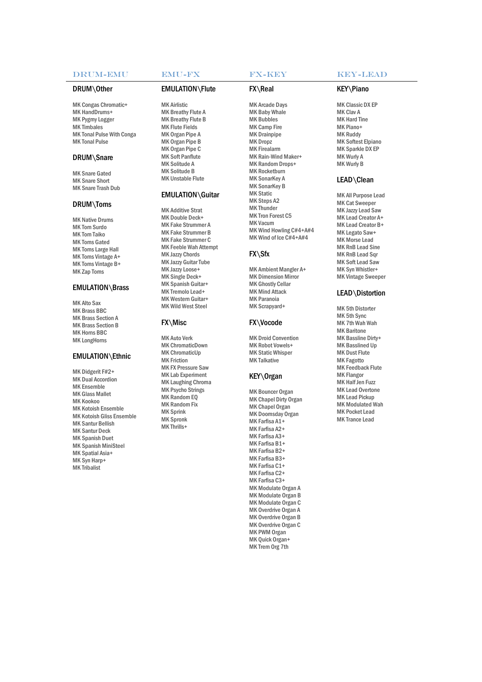#### DRUM-EMU

#### DRUM\Other

MK Congas Chromatic+ MK HandDrums+ MK Pygmy Logger MK Timbales MK Tonal Pulse With Conga MK Tonal Pulse

#### DRUM\Snare

MK Snare Gated MK Snare Short MK Snare Trash Dub

#### DRUM\Toms

MK Native Drums<br>MK Tom Taiko<br>MK Toms Gated<br>MK Toms Gated<br>MK Toms Vintage A+<br>MK Toms Vintage B+<br>MK Toms Vintage B+

#### EMULATION\Brass

MK Alto Sax M K Br ass BBC MK Brass Section A MK Brass Section B MK Horns BBC MK LongHorns

#### EMULATION\Ethnic

MK Didgerit F#2+ MK Dual Accordion MK Ensemble MK Glass Mallet M K Koo koo MK Kotoish Ensemble MK Kotoish Gliss Ensemble MK Santur Bellish MK Santur Deck MK Spanish Duet MK Spanish MiniSteel MK Spatial Asia+ MK Syn Harp+ MK Tribalist

#### EMU-FX

#### EMULATION\Flute

MK Airlistic MK Breathy Flute A MK Breathy Flute B MK Flute Fields MK Organ Pipe A MK Organ Pipe B MK Organ Pipe C MK Soft Panflute MK Solitude A M K S oli t u d e B MK Unstable Flute

#### EMULATION\Guitar

MK Additive Strat MK Double Deck+ MK Fake Strummer A MK Fake Strummer B MK Fake Strummer C MK Feeble Wah Attempt MK Jazzy Chords MK Jazzy Guitar Tube MK Jazzy Loose+ MK Single Deck+ MK Spanish Guitar+ MK Tremolo Lead+ MK Western Guitar+ M K Wil d W est S teel

#### FX\Misc

MK Auto Verk MK ChromaticDown MK ChromaticUp MK Friction MK FX Pressure Saw MK Lab Experiment MK Laughing Chroma MK Psycho Strings M K Ran d o m EQ MK Random Fix MK Sprink M K S p ronk MK Thrills+

#### FX-KEY

#### FX\Real

MK Arcade Days M K B aby Wha le M K B ubb l es MK Camp Fire MK Drainpipe MK Dropz MK Firealarm MK Rain-Wind Maker+ MK Random Drops+ MK Rocketburn MK SonarKey A MK SonarKey B **MK Static** MK Steps A2 M K Thun d er MK Tron Forest C5 MK Vacum MK Wind Howling C#4+A#4 MK Wind of Ice C#4+A#4

#### FX\Sfx

MK Ambient Mangler A+ **MK Dimension Mirror** MK Ghostly Cellar **MK Mind Attack** MK Paranoia MK Scrapyard+

#### FX\Vocode

**MK Droid Convention** MK Robot Vowels+ MK Static Whisper MK Talkative

#### K EY \ O rgan

MK Bouncer Organ MK Chapel Dirty Organ MK Chapel Organ MK Doomsday Organ MK Farfisa A1+ MK Farfisa A2+ MK Farfisa A3+ MK Farfisa B1+ MK Farfisa B2+ MK Farfisa B3+ MK Farfisa C1+ MK Farfisa C2+ MK Farfisa C3+ MK Modulate Organ A MK Modulate Organ B MK Modulate Organ C MK Overdrive Organ A MK Overdrive Organ B MK Overdrive Organ C MK PWM Organ MK Quick Organ+ MK Trem Org 7th

#### K E Y -LEAD

#### K EY \ Piano

MK Classic DX EP MK Clav A MK Hard Tine M K Piano+ MK Ruddy MK Softest Elpiano MK Sparkle DX EP MK Wurly A MK Wurly B

#### LEAD\Clean

MK All Purpose Lead MK Cat Sweeper MK Jazzy Lead Saw MK Lead Creator A+ MK Lead Creator B+ MK Legato Saw+ MK Morse Lead MK RnB Lead Sine MK RnB Lead Sqr MK Soft Lead Saw MK Syn Whistler+ MK Vintage Sweeper

#### LEAD\Distortion

MK 5th Distorter MK 5th Sync M K 7 th Wah Wah MK Baritone MK Bassline Dirty+ MK Basslined Up MK Dust Flute MK Fagotto MK Feedback Flute MK Flangor MK Half Jen Fuzz MK Lead Overtone MK Lead Pickup MK Modulated Wah MK Pocket Lead MK Trance Lead